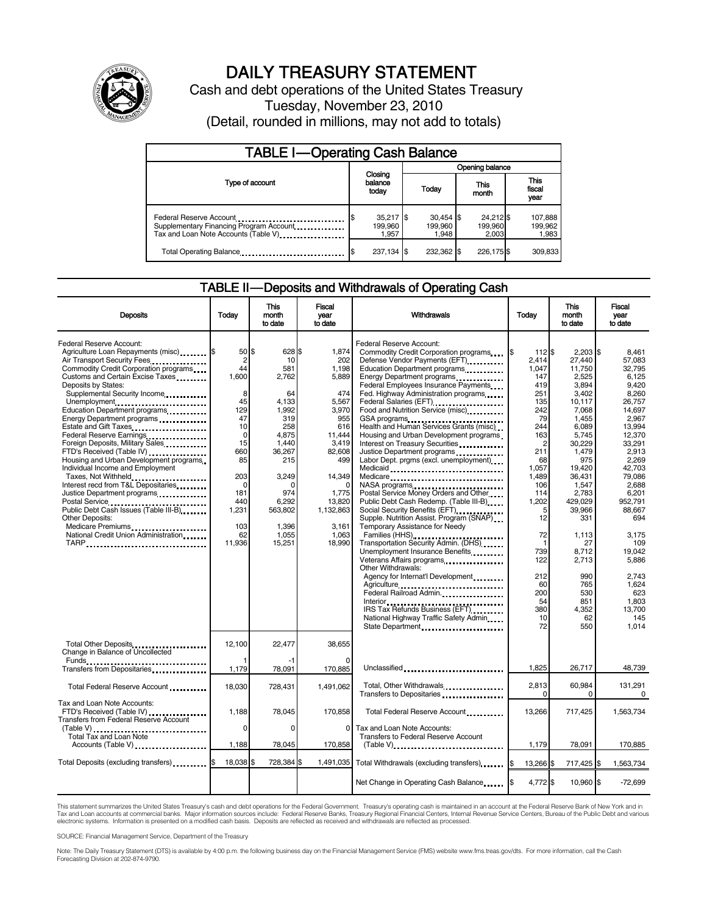

# DAILY TREASURY STATEMENT

Cash and debt operations of the United States Treasury Tuesday, November 23, 2010 (Detail, rounded in millions, may not add to totals)

| <b>TABLE I-Operating Cash Balance</b>                                                                       |                                 |                                 |                               |                               |  |  |  |  |
|-------------------------------------------------------------------------------------------------------------|---------------------------------|---------------------------------|-------------------------------|-------------------------------|--|--|--|--|
|                                                                                                             |                                 | Opening balance                 |                               |                               |  |  |  |  |
| Type of account                                                                                             | Closing<br>balance<br>today     | Today                           | This<br>month                 | <b>This</b><br>fiscal<br>year |  |  |  |  |
| Federal Reserve Account<br>Supplementary Financing Program Account<br>Tax and Loan Note Accounts (Table V). | $35,217$ \$<br>199.960<br>1.957 | $30,454$ \$<br>199.960<br>1.948 | 24,212 \$<br>199,960<br>2.003 | 107,888<br>199,962<br>1,983   |  |  |  |  |
| Total Operating Balance                                                                                     | 237,134 \$                      | 232,362                         | 226,175 \$                    | 309,833                       |  |  |  |  |

#### TABLE II — Deposits and Withdrawals of Operating Cash

| <b>Deposits</b>                                                                                                                                                                                                                                                                                                                                                                                                                                                                                                                                                                                                                                                                                                                                              | Todav                                                                                                                                                                   | This<br>month<br>to date                                                                                                                                                   | Fiscal<br>year<br>to date                                                                                                                                                       | Withdrawals                                                                                                                                                                                                                                                                                                                                                                                                                                                                                                                                                                                                                                                                                                                                                                                                                                                                                                                                                                                                                                                                                 | Todav                                                                                                                                                                                                                                               | <b>This</b><br>month<br>to date                                                                                                                                                                                                                                                | Fiscal<br>vear<br>to date                                                                                                                                                                                                                                                                 |
|--------------------------------------------------------------------------------------------------------------------------------------------------------------------------------------------------------------------------------------------------------------------------------------------------------------------------------------------------------------------------------------------------------------------------------------------------------------------------------------------------------------------------------------------------------------------------------------------------------------------------------------------------------------------------------------------------------------------------------------------------------------|-------------------------------------------------------------------------------------------------------------------------------------------------------------------------|----------------------------------------------------------------------------------------------------------------------------------------------------------------------------|---------------------------------------------------------------------------------------------------------------------------------------------------------------------------------|---------------------------------------------------------------------------------------------------------------------------------------------------------------------------------------------------------------------------------------------------------------------------------------------------------------------------------------------------------------------------------------------------------------------------------------------------------------------------------------------------------------------------------------------------------------------------------------------------------------------------------------------------------------------------------------------------------------------------------------------------------------------------------------------------------------------------------------------------------------------------------------------------------------------------------------------------------------------------------------------------------------------------------------------------------------------------------------------|-----------------------------------------------------------------------------------------------------------------------------------------------------------------------------------------------------------------------------------------------------|--------------------------------------------------------------------------------------------------------------------------------------------------------------------------------------------------------------------------------------------------------------------------------|-------------------------------------------------------------------------------------------------------------------------------------------------------------------------------------------------------------------------------------------------------------------------------------------|
| Federal Reserve Account:<br>Agriculture Loan Repayments (misc) [8<br>Air Transport Security Fees<br>Commodity Credit Corporation programs<br>Customs and Certain Excise Taxes<br>Deposits by States:<br>Supplemental Security Income<br>Unemployment<br>Education Department programs<br>Energy Department programs<br>Estate and Gift Taxes<br>Federal Reserve Earnings<br>Foreign Deposits, Military Sales<br>FTD's Received (Table IV)<br>Housing and Urban Development programs<br>Individual Income and Employment<br>Taxes, Not Withheld<br>Interest recd from T&L Depositaries<br>Justice Department programs<br>Public Debt Cash Issues (Table III-B)<br><b>Other Deposits:</b><br>Medicare Premiums<br>National Credit Union Administration<br>TARP | 50 \$<br>$\overline{2}$<br>44<br>1,600<br>8<br>45<br>129<br>47<br>10<br>$\mathbf 0$<br>15<br>660<br>85<br>203<br>$\Omega$<br>181<br>440<br>1,231<br>103<br>62<br>11,936 | 628 \$<br>10<br>581<br>2,762<br>64<br>4,133<br>1,992<br>319<br>258<br>4,875<br>1,440<br>36,267<br>215<br>3,249<br>n<br>974<br>6,292<br>563,802<br>1,396<br>1,055<br>15,251 | 1,874<br>202<br>1,198<br>5,889<br>474<br>5,567<br>3,970<br>955<br>616<br>11,444<br>3.419<br>82,608<br>499<br>14,349<br>1,775<br>13,820<br>1,132,863<br>3,161<br>1,063<br>18,990 | Federal Reserve Account:<br>Commodity Credit Corporation programs<br>Defense Vendor Payments (EFT)<br>Education Department programs<br>Energy Department programs<br>Federal Employees Insurance Payments<br>Fed. Highway Administration programs<br>Federal Salaries (EFT)<br>1991 - Pateral Salaries (EFT)<br>Food and Nutrition Service (misc)<br>GSA programs<br>Health and Human Services Grants (misc)<br>Housing and Urban Development programs<br>Interest on Treasury Securities<br>Justice Department programs<br>Labor Dept. prgms (excl. unemployment)<br>Medicaid<br>Medicare<br>NASA programs<br>Postal Service Money Orders and Other<br>Public Debt Cash Redemp. (Table III-B)<br>Social Security Benefits (EFT)<br>Supple. Nutrition Assist. Program (SNAP)<br>Temporary Assistance for Needy<br>Families (HHS)<br>Transportation Security Admin. (DHS)<br>Unemployment Insurance Benefits<br>Other Withdrawals:<br>Agency for Internat'l Development<br>Agriculture<br>Federal Railroad Admin.<br>IRS Tax Refunds Business (EFT)<br>National Highway Traffic Safety Admin | 112 \$<br>I\$<br>2.414<br>1,047<br>147<br>419<br>251<br>135<br>242<br>79<br>244<br>163<br>$\overline{2}$<br>211<br>68<br>1,057<br>1.489<br>106<br>114<br>1,202<br>5<br>12<br>72<br>$\mathbf 1$<br>739<br>122<br>212<br>60<br>200<br>54<br>380<br>10 | $2.203$ S<br>27.440<br>11,750<br>2,525<br>3,894<br>3.402<br>10,117<br>7,068<br>1,455<br>6,089<br>5,745<br>30,229<br>1,479<br>975<br>19,420<br>36.431<br>1,547<br>2,783<br>429,029<br>39,966<br>331<br>1,113<br>27<br>8.712<br>2,713<br>990<br>765<br>530<br>851<br>4,352<br>62 | 8.461<br>57.083<br>32,795<br>6,125<br>9,420<br>8.260<br>26,757<br>14,697<br>2,967<br>13,994<br>12,370<br>33,291<br>2,913<br>2,269<br>42,703<br>79.086<br>2.688<br>6,201<br>952,791<br>88.667<br>694<br>3,175<br>109<br>19.042<br>5,886<br>2.743<br>1,624<br>623<br>1.803<br>13.700<br>145 |
| Total Other Deposits                                                                                                                                                                                                                                                                                                                                                                                                                                                                                                                                                                                                                                                                                                                                         | 12.100                                                                                                                                                                  | 22.477                                                                                                                                                                     | 38.655                                                                                                                                                                          | State Department                                                                                                                                                                                                                                                                                                                                                                                                                                                                                                                                                                                                                                                                                                                                                                                                                                                                                                                                                                                                                                                                            | 72                                                                                                                                                                                                                                                  | 550                                                                                                                                                                                                                                                                            | 1.014                                                                                                                                                                                                                                                                                     |
| Change in Balance of Uncollected<br>Funds __<br>Transfers from Depositaries                                                                                                                                                                                                                                                                                                                                                                                                                                                                                                                                                                                                                                                                                  | 1,179                                                                                                                                                                   | 78,091                                                                                                                                                                     | 170,885                                                                                                                                                                         | Unclassified                                                                                                                                                                                                                                                                                                                                                                                                                                                                                                                                                                                                                                                                                                                                                                                                                                                                                                                                                                                                                                                                                | 1.825                                                                                                                                                                                                                                               | 26,717                                                                                                                                                                                                                                                                         | 48.739                                                                                                                                                                                                                                                                                    |
| Total Federal Reserve Account                                                                                                                                                                                                                                                                                                                                                                                                                                                                                                                                                                                                                                                                                                                                | 18,030                                                                                                                                                                  | 728,431                                                                                                                                                                    | 1,491,062                                                                                                                                                                       | Total, Other Withdrawals<br>Transfers to Depositaries                                                                                                                                                                                                                                                                                                                                                                                                                                                                                                                                                                                                                                                                                                                                                                                                                                                                                                                                                                                                                                       | 2,813<br>$\Omega$                                                                                                                                                                                                                                   | 60,984<br>0                                                                                                                                                                                                                                                                    | 131,291<br>$\Omega$                                                                                                                                                                                                                                                                       |
| Tax and Loan Note Accounts:<br>FTD's Received (Table IV)<br>Transfers from Federal Reserve Account                                                                                                                                                                                                                                                                                                                                                                                                                                                                                                                                                                                                                                                           | 1.188                                                                                                                                                                   | 78,045                                                                                                                                                                     | 170,858                                                                                                                                                                         | Total Federal Reserve Account                                                                                                                                                                                                                                                                                                                                                                                                                                                                                                                                                                                                                                                                                                                                                                                                                                                                                                                                                                                                                                                               | 13.266                                                                                                                                                                                                                                              | 717,425                                                                                                                                                                                                                                                                        | 1,563,734                                                                                                                                                                                                                                                                                 |
| (Table V)<br>Total Tax and Loan Note<br>Accounts (Table V)                                                                                                                                                                                                                                                                                                                                                                                                                                                                                                                                                                                                                                                                                                   | $\Omega$<br>1,188                                                                                                                                                       | $\Omega$<br>78,045                                                                                                                                                         | 0<br>170,858                                                                                                                                                                    | Tax and Loan Note Accounts:<br>Transfers to Federal Reserve Account<br>$(Table V)$ ,                                                                                                                                                                                                                                                                                                                                                                                                                                                                                                                                                                                                                                                                                                                                                                                                                                                                                                                                                                                                        | 1,179                                                                                                                                                                                                                                               | 78,091                                                                                                                                                                                                                                                                         | 170,885                                                                                                                                                                                                                                                                                   |
| Total Deposits (excluding transfers)                                                                                                                                                                                                                                                                                                                                                                                                                                                                                                                                                                                                                                                                                                                         | 18,038                                                                                                                                                                  | 728,384                                                                                                                                                                    | 1,491,035                                                                                                                                                                       | Total Withdrawals (excluding transfers) [8]                                                                                                                                                                                                                                                                                                                                                                                                                                                                                                                                                                                                                                                                                                                                                                                                                                                                                                                                                                                                                                                 | 13,266 \$                                                                                                                                                                                                                                           | 717,425 \$                                                                                                                                                                                                                                                                     | 1,563,734                                                                                                                                                                                                                                                                                 |
|                                                                                                                                                                                                                                                                                                                                                                                                                                                                                                                                                                                                                                                                                                                                                              |                                                                                                                                                                         |                                                                                                                                                                            |                                                                                                                                                                                 | Net Change in Operating Cash Balance                                                                                                                                                                                                                                                                                                                                                                                                                                                                                                                                                                                                                                                                                                                                                                                                                                                                                                                                                                                                                                                        | 4,772 \$                                                                                                                                                                                                                                            | 10,960 \$                                                                                                                                                                                                                                                                      | $-72,699$                                                                                                                                                                                                                                                                                 |

This statement summarizes the United States Treasury's cash and debt operations for the Federal Government. Treasury's operating cash is maintained in an account at the Federal Reserve Bank of New York and in<br>Tax and Loan electronic systems. Information is presented on a modified cash basis. Deposits are reflected as received and withdrawals are reflected as processed.

SOURCE: Financial Management Service, Department of the Treasury

Note: The Daily Treasury Statement (DTS) is available by 4:00 p.m. the following business day on the Financial Management Service (FMS) website www.fms.treas.gov/dts. For more information, call the Cash Forecasting Division at 202-874-9790.